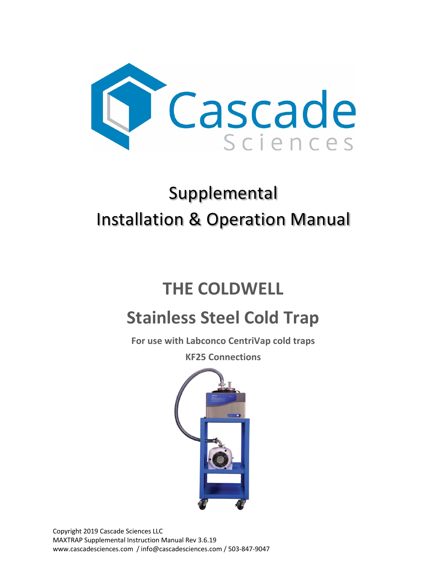

# Supplemental Installation & Operation Manual

# **THE COLDWELL**

# **Stainless Steel Cold Trap**

**For use with Labconco CentriVap cold traps**

**KF25 Connections**



Copyright 2019 Cascade Sciences LLC MAXTRAP Supplemental Instruction Manual Rev 3.6.19 www.cascadesciences.com / info@cascadesciences.com / 503-847-9047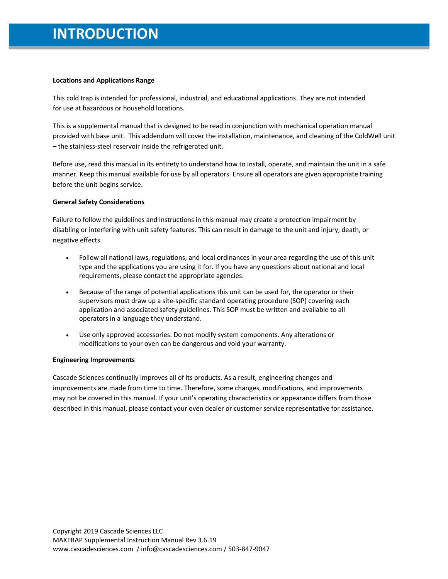## **INTRODUCTION**

#### **Locations and Applications Range**

This cold trap is intended for professional, industrial, and educational applications. They are not intended for use at hazardous or household locations.

This is a supplemental manual that is designed to be read in conjunction with mechanical operation manual provided with base unit. This addendum will cover the installation, maintenance, and cleaning of the ColdWell unit – the stainless-steel reservoir inside the refrigerated unit.

Before use, read this manual in its entirety to understand how to install, operate, and maintain the unit in a safe manner. Keep this manual available for use by all operators. Ensure all operators are given appropriate training before the unit begins service.

#### **General Safety Considerations**

Failure to follow the guidelines and instructions in this manual may create a protection impairment by disabling or interfering with unit safety features. This can result in damage to the unit and injury, death, or negative effects.

- Follow all national laws, regulations, and local ordinances in your area regarding the use of this unit type and the applications you are using it for. If you have any questions about national and local requirements, please contact the appropriate agencies.
- Because of the range of potential applications this unit can be used for, the operator or their supervisors must draw up a site-specific standard operating procedure (SOP) covering each application and associated safety guidelines. This SOP must be written and available to all operators in a language they understand.
- Use only approved accessories. Do not modify system components. Any alterations or modifications to your oven can be dangerous and void your warranty.

#### **Engineering Improvements**

Cascade Sciences continually improves all of its products. As a result, engineering changes and improvements are made from time to time. Therefore, some changes, modifications, and improvements may not be covered in this manual. If your unit's operating characteristics or appearance differs from those described in this manual, please contact your oven dealer or customer service representative for assistance.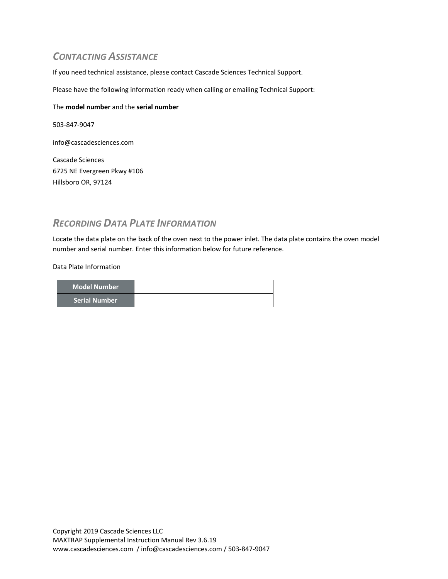### *CONTACTING ASSISTANCE*

If you need technical assistance, please contact Cascade Sciences Technical Support.

Please have the following information ready when calling or emailing Technical Support:

#### The **model number** and the **serial number**

503-847-9047

info@cascadesciences.com

Cascade Sciences 6725 NE Evergreen Pkwy #106 Hillsboro OR, 97124

### *RECORDING DATA PLATE INFORMATION*

Locate the data plate on the back of the oven next to the power inlet. The data plate contains the oven model number and serial number. Enter this information below for future reference.

Data Plate Information

| <b>Model Number</b>          |  |
|------------------------------|--|
| l Serial Number <sup>1</sup> |  |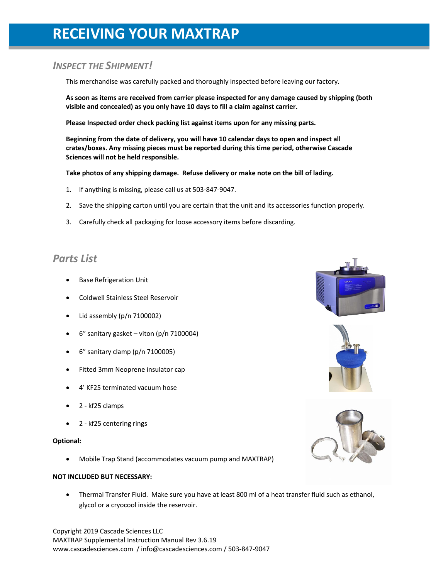## **RECEIVING YOUR MAXTRAP**

### *INSPECT THE SHIPMENT!*

This merchandise was carefully packed and thoroughly inspected before leaving our factory.

**As soon as items are received from carrier please inspected for any damage caused by shipping (both visible and concealed) as you only have 10 days to fill a claim against carrier.**

**Please Inspected order check packing list against items upon for any missing parts.** 

**Beginning from the date of delivery, you will have 10 calendar days to open and inspect all crates/boxes. Any missing pieces must be reported during this time period, otherwise Cascade Sciences will not be held responsible.**

**Take photos of any shipping damage. Refuse delivery or make note on the bill of lading.**

- 1. If anything is missing, please call us at 503-847-9047.
- 2. Save the shipping carton until you are certain that the unit and its accessories function properly.
- 3. Carefully check all packaging for loose accessory items before discarding.

## *Parts List*

- **Base Refrigeration Unit**
- Coldwell Stainless Steel Reservoir
- Lid assembly (p/n 7100002)
- $6''$  sanitary gasket viton (p/n 7100004)
- 6" sanitary clamp (p/n 7100005)
- Fitted 3mm Neoprene insulator cap
- 4' KF25 terminated vacuum hose
- 2 kf25 clamps
- 2 kf25 centering rings

#### **Optional:**

• Mobile Trap Stand (accommodates vacuum pump and MAXTRAP)

#### **NOT INCLUDED BUT NECESSARY:**

• Thermal Transfer Fluid. Make sure you have at least 800 ml of a heat transfer fluid such as ethanol, glycol or a cryocool inside the reservoir.

Copyright 2019 Cascade Sciences LLC MAXTRAP Supplemental Instruction Manual Rev 3.6.19 www.cascadesciences.com / info@cascadesciences.com / 503-847-9047





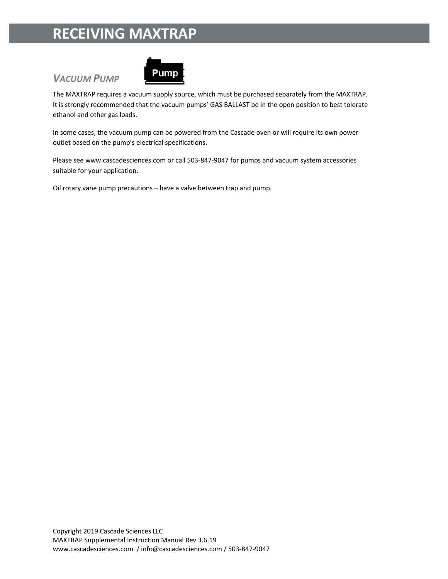## **RECEIVING MAXTRAP**

## *VACUUM PUMP*



The MAXTRAP requires a vacuum supply source, which must be purchased separately from the MAXTRAP. It is strongly recommended that the vacuum pumps' GAS BALLAST be in the open position to best tolerate ethanol and other gas loads.

In some cases, the vacuum pump can be powered from the Cascade oven or will require its own power outlet based on the pump's electrical specifications.

Please see www.cascadesciences.com or call 503-847-9047 for pumps and vacuum system accessories suitable for your application.

Oil rotary vane pump precautions – have a valve between trap and pump.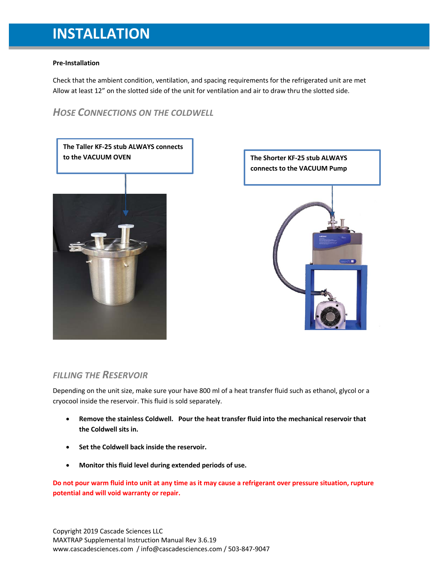## **INSTALLATION**

#### **Pre-Installation**

Check that the ambient condition, ventilation, and spacing requirements for the refrigerated unit are met Allow at least 12" on the slotted side of the unit for ventilation and air to draw thru the slotted side.

### *HOSE CONNECTIONS ON THE COLDWELL*

**The Taller KF-25 stub ALWAYS connects to the VACUUM OVEN The Shorter KF-25 stub ALWAYS** 





### *FILLING THE RESERVOIR*

Depending on the unit size, make sure your have 800 ml of a heat transfer fluid such as ethanol, glycol or a cryocool inside the reservoir. This fluid is sold separately.

- **Remove the stainless Coldwell. Pour the heat transfer fluid into the mechanical reservoir that the Coldwell sits in.**
- **Set the Coldwell back inside the reservoir.**
- **Monitor this fluid level during extended periods of use.**

**Do not pour warm fluid into unit at any time as it may cause a refrigerant over pressure situation, rupture potential and will void warranty or repair.** 

Copyright 2019 Cascade Sciences LLC MAXTRAP Supplemental Instruction Manual Rev 3.6.19 www.cascadesciences.com / info@cascadesciences.com / 503-847-9047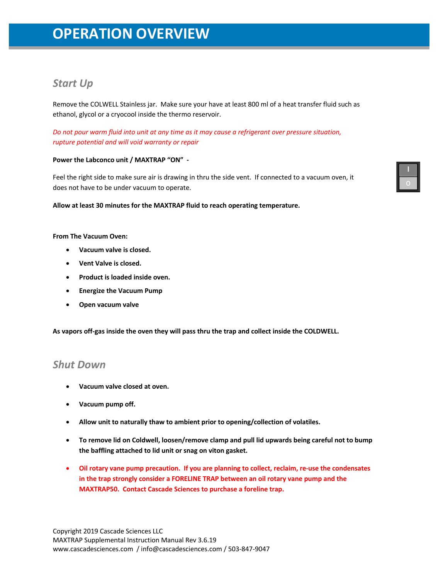## **OPERATION OVERVIEW**

## *Start Up*

Remove the COLWELL Stainless jar. Make sure your have at least 800 ml of a heat transfer fluid such as ethanol, glycol or a cryocool inside the thermo reservoir.

*Do not pour warm fluid into unit at any time as it may cause a refrigerant over pressure situation, rupture potential and will void warranty or repair*

#### **Power the Labconco unit / MAXTRAP "ON" -**

Feel the right side to make sure air is drawing in thru the side vent. If connected to a vacuum oven, it does not have to be under vacuum to operate.

#### **Allow at least 30 minutes for the MAXTRAP fluid to reach operating temperature.**

#### **From The Vacuum Oven:**

- **Vacuum valve is closed.**
- **Vent Valve is closed.**
- **Product is loaded inside oven.**
- **Energize the Vacuum Pump**
- **Open vacuum valve**

**As vapors off-gas inside the oven they will pass thru the trap and collect inside the COLDWELL.**

### *Shut Down*

- **Vacuum valve closed at oven.**
- **Vacuum pump off.**
- **Allow unit to naturally thaw to ambient prior to opening/collection of volatiles.**
- **To remove lid on Coldwell, loosen/remove clamp and pull lid upwards being careful not to bump the baffling attached to lid unit or snag on viton gasket.**
- **Oil rotary vane pump precaution. If you are planning to collect, reclaim, re-use the condensates in the trap strongly consider a FORELINE TRAP between an oil rotary vane pump and the MAXTRAP50. Contact Cascade Sciences to purchase a foreline trap.**

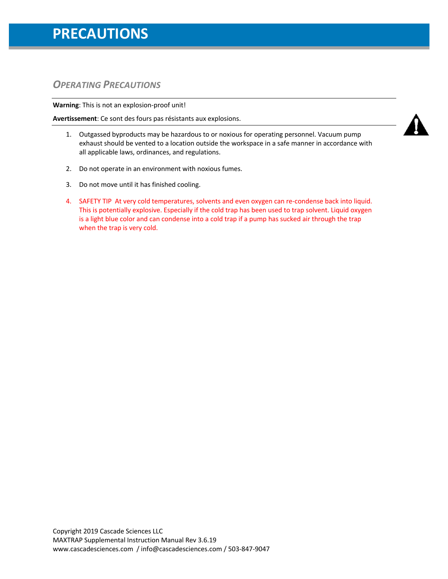## **PRECAUTIONS**

## *OPERATING PRECAUTIONS*

**Warning**: This is not an explosion-proof unit!

**Avertissement**: Ce sont des fours pas résistants aux explosions.

- 1. Outgassed byproducts may be hazardous to or noxious for operating personnel. Vacuum pump exhaust should be vented to a location outside the workspace in a safe manner in accordance with all applicable laws, ordinances, and regulations.
- 2. Do not operate in an environment with noxious fumes.
- 3. Do not move until it has finished cooling.
- 4. SAFETY TIP At very cold temperatures, solvents and even oxygen can re-condense back into liquid. This is potentially explosive. Especially if the cold trap has been used to trap solvent. Liquid oxygen is a light blue color and can condense into a cold trap if a pump has sucked air through the trap when the trap is very cold.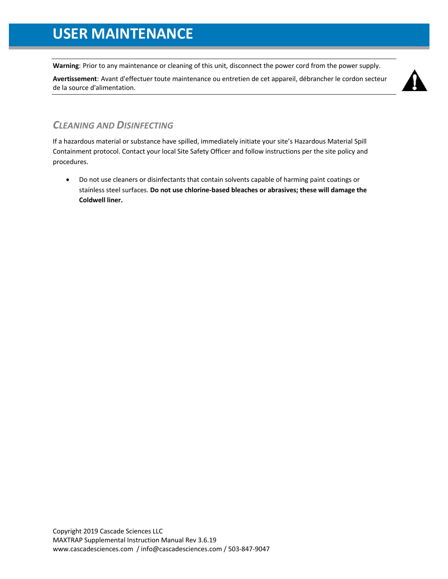**Warning**: Prior to any maintenance or cleaning of this unit, disconnect the power cord from the power supply.

**Avertissement**: Avant d'effectuer toute maintenance ou entretien de cet appareil, débrancher le cordon secteur de la source d'alimentation.



## *CLEANING AND DISINFECTING*

If a hazardous material or substance have spilled, immediately initiate your site's Hazardous Material Spill Containment protocol. Contact your local Site Safety Officer and follow instructions per the site policy and procedures.

• Do not use cleaners or disinfectants that contain solvents capable of harming paint coatings or stainless steel surfaces. **Do not use chlorine-based bleaches or abrasives; these will damage the Coldwell liner.**